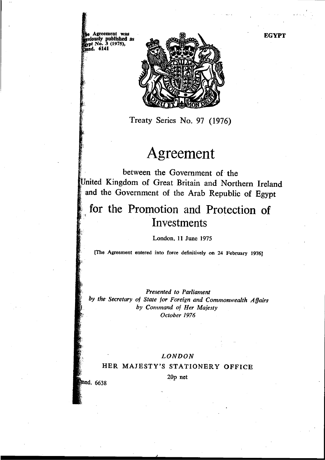Agreement was<br>riously published as nt No. 3 (1975). 6141



Treaty Series No. 97 (1976)

# Agreement

between the Government of the United Kingdom of Great Britain and Northern Ireland and the Government of the Arab Republic of Egypt

## for the Promotion and Protection of Investments

London. II June 1975

[The Agreement entered into force definitively on 24 February 1976]

*Presented to Parliament by the Secretary of State for Foreign and Commonwealth AfJairs by Command of Her Majesty October 1976* 

## *LONDON*

## HER MAJESTY'S STATIONERY OFFICE

20p net

mnd. 6638

EGYPT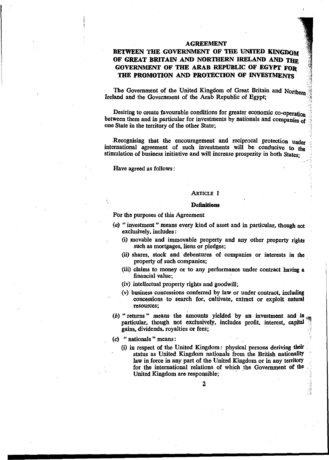## **AGREEMENT**

## BETWEEN THE GOVERNMENT OF THE UNITED KINGDOM OF GREAT BRITAIN AND NORTHERN IRELAND AND THE GOVERNMENT OF THE ARAB REPUBLIC OF EGYPT FOR THE PROMOTION AND PROTECTION OF INVESTMENTS

The Government of the United Kingdom of Great Britain and Northern Ireland and the Government of the Arab Republic of Egypt; .

Desiring to create favourable conditions for greater economic co-operation between them and in particular for investments by nationals and companies of one State in the territory of the other State;

.Recognising that the encouragement and reciprocal protection under international agreement of such investments will be conducive to the stimulation of business initiative and will increase prosperity in both States;

Have agreed as follows:

#### ARTICLE I

#### **Definitions**

For the purposes of this Agreement

- (a) "investment" means every kind of asset and in particular. though not exclusively. includes:
	- (i) movable and immovable property and any other property rights such as mortgages. liens or pledges;
	- (ii) shares. stock and debentures of companies or interests in the property of such companies; .
	- (iii) claims to money or to any performance under contract having a financial value;
	- (iv) intellectual property rights and goodwill;
	- (v) business concessions conferred by law or under contract. including concessions to search for. cultivate. extract or exploit natural resources;
- $(b)$  "returns" means the amounts yielded by an investment and in particular, though not exclusively, includes profit, interest, capital gains. dividends. royalties or fees;
- (c) "nationals" means:
	- (i) in respect of the United Kingdom: physical persons deriving their status as United Kingdom nationals from the British nationality law in force in any part of the United Kingdom or in any territory for the international relations of which the Government of the United Kingdom are responsible;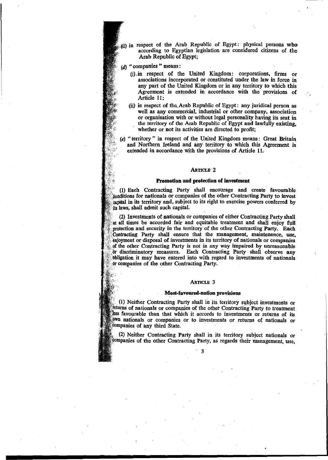(ii) in respect of the Arab Republic of Egypt: physical persons who according to Egyptian legislation are considered citizens of the Arab Republic of Egypt;

- $(d)$  "companies" means :
	- (i) -in respect of the United Kingdom: corporations, firms or associations incorporated or constituted under the law in force in any part of the United Kingdom or in any territory to which this Agreement is extended in accordance with the provisions of Article 11:
	- (ii) in respect of the Arab Republic of Egypt: any juridical person as well as any commercial, industrial or other company, association or organisation with or without legal personality having its seat in the territory of the Arab Republic of Egypt and lawfully existing, whether or not its activities are directed to profit;
- (e) "territory" in respect of the United Kingdom means: Great Britain and Northern Ireland and any territory to which this Agreement is extended in accordance with the provisions of Article II.

#### **ARTICLE 2**

#### **Promotion and protedion of investment**

 $\frac{E}{2}$  (1) Each Contracting Party shall encourage and create favourable is and invest requital in its territory and, subject to its right to exercise powers conferred by its laws, shall admit such capital.

(2) Investments of nationals or companies of either Contracting Party shall at all times be accorded fair and equitable treatment and shall enjoy full protection and security in the territory of the other Contracting Party. Each Contracting Party shall ensure that the management, maintenance, use, enjoyment or disposal of investments in its territory of nationals or companies of the other Contracting Party is not in any way impaired by unreasonable or discriminatory measures. Each Contracting Party shall observe any biligation it may have entered into with regard to investments of nationals or companies of the other Contracting Party.

#### ARTICLE 3

#### **Most-favonred-nation provisions**

(1) Neither Contracting Party shall in its territory subject investments or of nationals or companies of the othet Contracting Party to treatment favourable than that which it accords to investments or returns of its natfonals or companies or to investments or returns of nationals or companies of any third State.

(2) Neither Contracting Party shall in its territory subject nationals or ;omparues of the other Contracting Party, as regards their management, use,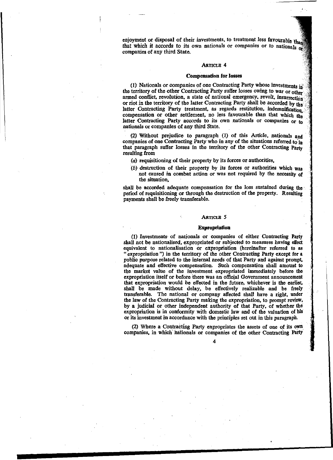enjoyment or disposal of their investments, to treatment less favourable than that which it accords to its own nationals or companies or to nationals  $\frac{1}{100}$ companies of any third State.

#### **ARTICLE 4**

#### Compensation for losses

(1) Nationals or companies of one Contracting Party whose investments  $\mathbf{u}_i^{\text{s}}$ the territory of the other Contracting Party suffer losses owing to war or other armed conflict, revolution. a state of national emergency. revolt, insurrection' or riot in the territory of the latter Contracting Party shall be accorded by the latter Contracting Party treatment, as regards restitution, indemnification. compensation or other settlement, no less favourable than that which the latter Contracting Party accords to its own nationals or companies or to nationals or companies of any third State.

(2) Without prejudice to paragraph (I) of this Article. nationals and companies of one Contracting Party who in any of the situations referred to in that paragraph suffer losses in the territory of the other Contracting Party resulting from

(a) reqnisitioning of their property by its forces or authorities.

(b) destruction of their property by its forces or authorities which was not caused in combat action or was not required by the necessity of the situation.

shall be accorded adequate compensation for the loss sustained during the' period of requisitioning or through the destruction of the property. Resulting payments shall be freely transferable.

#### ARTICLE 5

#### **Expropriation**

(1) Investments· of nationals or companies of either Contracting Party shall not be nationalised, expropriated or subjected to measures having effect equivalent to nationalisation or expropriation (hereinafter referred to as " expropriation") in the territory of the other Contracting Party except for a public purpose related to the internal needs of that Party and against prompt. adequate and effective compensation. Such compensation shall amount to the market value of the investment expropriated immediately before the expropriation itself or before there was an official Government announcement that expropriation would be effected in the future, whichever is the earlier. shall be made without delay, be effectively realizable and be freely transferable, The national or company affected shall have a right. under the law of the Contracting Party making the expropriation. to prompt review. by a judicial or other independent authority of that Party, of whether the expropriation is in conformity with domestic law and of the valuation of his or its investment in accordance with the principles set out in this paragraph.

(2) Where a Contracting Party expropriates the assets of one of its own companies. in which 'nationals or companies of the other Contracting Party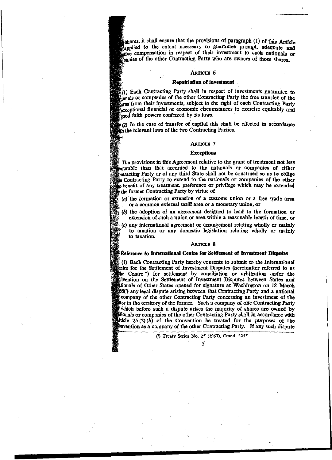$\mathbf{g}_\text{s}$  is shall ensure that the provisions of paragraph (1) of this Article applied to the extent necessary to guarantee prompt, adequate and etive compensation in respect of their investment to such nationals or mpanies of the other Contracting Party who are owners of those shares.

#### ARTICLE 6

#### Repatriation of investment

Each Contracting Party shall in respect of investments guarantee to Hionals or companies of the other Contracting Party the free transfer of the furns from their investments, subject to the right of each Contracting Party exceptional financial or economic circumstances to exercise equitably and <sub>good</sub> faith powers conferred by its laws.

 $\mathbf{E}(2)$  In the case of transfer of capital this shall be effected in accordance th the relevant laws of the two Contracting Parties.

#### ARTICLE 7

#### Exeeptions

The provisions in this Agreement relative to the grant of treatment not less **t**rourable than that accorded to the nationals or companies of either fontracting Party or of any third State shall not be construed so as to oblige Fine Contracting Party to extend to the nationals or companies of the other  $\mathbf{\hat{E}}$  benefit of any treatment, preference or privilege which may be extended the former Contracting Party by virtue of

- (a) the formation or extension of a customs union or a free trade area or a common external tariff area or a monetary union, or
- $\frac{1}{2}$  (b) the adoption of an agreement designed to lead to the formation or extension of such a union or area within a reasonable length of time, or
- (c) any international agreement or arrangement relating wholly or mainly . to taxation or any domestic legislation relating wholly or mainly to taxation.

#### ARTICLE 8

### $\frac{1}{2}$  Reference to International Centre for Settlement of Investment Disputes

(1) Each Contracting Party hereby consents to submit to the International for the Settlement of Investment Disputes (hereinafter referred to as Centre ") for settlement by conciliation or arbitration under the pavention on the Settlement of Investment Disputes between States and itionals of Other States opened for signature at Washington on 18 March  $65<sup>o</sup>$ ) any legal dispute arising between that Contracting Party and a national company of the other Contracting Party concerning an investment of the ther in the territory of the former. Such a company of one Contracting Party which before such a dispute arises the majority of shares are owned by ationals or companies of the other Contracting Party shall in accordance with Inticle 25 (2) (b) of the Convention be treated for the purposes of the. Movention as a company of the other Contracting Party. If any such dispute

(4) Treaty Series No. 25 (1967), Cmnd. 3255.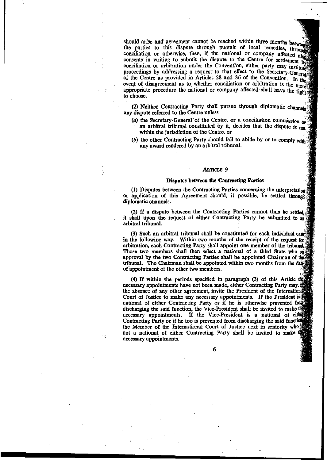should arise and agreement cannot be reached within three months between should arise and agreement common contract of local remedies, through conciliation or otherwise, then, if the national or company affected also consents in writing to submit the dispute to the Centre for settlement  $\frac{1}{100}$ conciliation or arbitration under the Convention, either party may institute proceedings by addressing a request to that effect to the Secretary-General of the Centre as provided in Articles 28 and 36 of the Convention. In the event of disagreement as to whether conciliation or arbitration is the more appropriate procedure the national or company affected shall have the right. to choose.

(2) Neither Contracting Party shall pursue through diplomatic channels any dispute referred to the Centre unless<br>(a) the Secretary-General of the Centre, or a conciliation commission of

- an arbitral tribunal constituted by it, decides that the dispute is not within the jurisdiction of the Centre, or
- (b) the other Contracting Party should fail to abide by or to comply  $w_{ith}$ any award rendered by an arbitral tribunal. .

## ARTICLE 9

#### Dispntes between the Contractipg Parties

(1) Disputes between the Contracting Parties concerning the interpretation or application of this Agreement should, if possible, be settled through diplomatic channels.

(2) If a dispute between the Contracting Parties cannot thus be it shall upon the request of either Contracting Party be submitted to an arbitral tribunal.

(3) Such an arbitral tribunal shall be constituted for each individual in the following way. Within two months of the receipt of the request for arbitration, each Contracting Party shall appoint one member of the tribunal. Those two members shall then select a national of a third State who on approval by the two Contracting Parties shall be appointed Chairman of tribunal. The Chairman shall be appointed within two months from the of appointment of the other two members. .

(4) If within the periods specified in paragraph (3) of this Article necessary appointments have not been made, either Contracting Party may, if the absence of any other agreement, invite the President of the Court of Justice to make any necessary appointments. If the President is national of either Contracting Party or if he is otherwise prevented from discharging the said function, the Vice-President shall be invited to necessary appointments. If the Vice-President is a national of either Contracting Party or if he too is prevented from discharging the said function the Member of the International Court of Justice next in seniority not a national of either Contracting Party shall be invited to make to necessary appointments.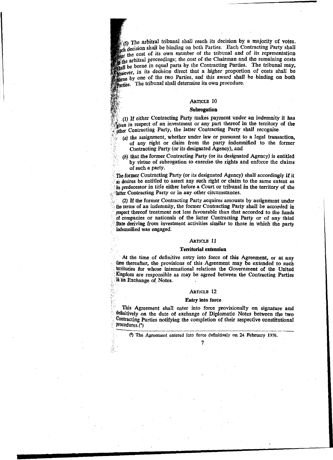$\mathcal{L}_{(5)}$  The arbitral tribunal shall reach its decision by a majority of votes. decision shall be binding on both Parties. Each Contracting Party shall the cost of its own member of the tribunal and of its representation the arbitral proceedings; the cost of the Chairman and the remaining costs be borne in equal parts by the Contracting Parties. The tribunal may, in its decision direct that a higher proportion of costs shall be by one of the two Parties, and this award shall be binding on both The tribunal shall determine its own procedure.

#### ARTICLE IO

#### Subrogation

(1) If either Contracting Party makes payment under an indemnity it has fiven in respect of an investment or any part thereof in the territory of the ther Contracting Party, the latter Contracting Party shall recognise

- $(a)$  the assignment, whether under law or pursuant to a legal transaction. of any right or claim from the party indemnified to the former Contracting Party (or its designated Agency). and
- (b) that the former Contracting Party (or its designated Agency) is entitled by virtue of subrogation to exercise the rights and enforce the claims of such a party.

The former Contracting Party (or *its* designated Agency}shall accordingly if it so desires be entitled to assert any such right or claim to the same extent as its predecessor in title either before a Court or tribunal in the territory of the Hatter Contracting Party or in any other circumstances.

(2) If the former Contracting Party acquires amounts by assignment under the terms of an indemnity, the former Contracting Party shall be accorded in respect thereof treatment not less favourable than that accorded to the funds of companies or nationals of the latter Contracting Party or of any third State deriving from investment activities similar to those in which the party indemnified was engaged.

#### ARTICLE 11

#### Territorial extension

At the time of definitive entry into force of this Agreement. or at any time thereafter, the provisions of this Agreement may be extended to such territories for whose international relations the Government of the United Kingdom are responsible as may be agreed between the Contracting Parties in an Exchange of Notes.

#### ARTICLE 12

#### Entry into force

This Agreement shall enter into force provisionally on signature and definitively on the date of exchange of Diplomatic Notes between the two Contracting Parties notifying the completion of their respective constitutional procedures.(2)

**(2) The Agreement entered into force definitively on 24 February 1976.**  7.